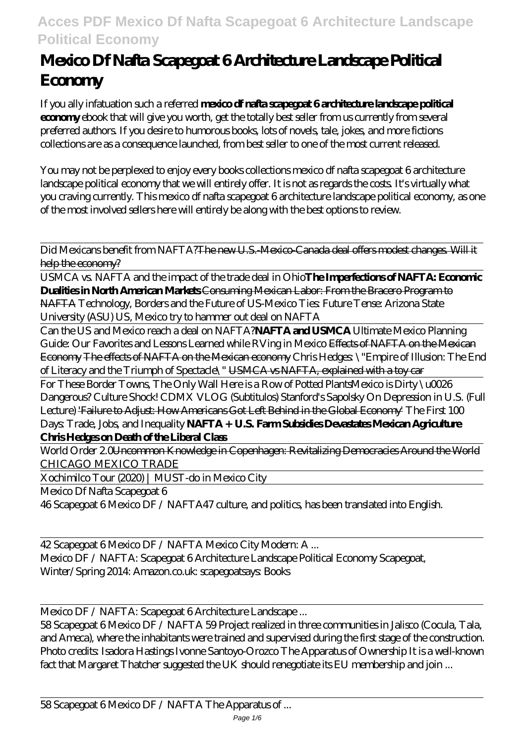# **Mexico Df Nafta Scapegoat 6 Architecture Landscape Political Economy**

If you ally infatuation such a referred **mexico df nafta scapegoat 6 architecture landscape political economy** ebook that will give you worth, get the totally best seller from us currently from several preferred authors. If you desire to humorous books, lots of novels, tale, jokes, and more fictions collections are as a consequence launched, from best seller to one of the most current released.

You may not be perplexed to enjoy every books collections mexico df nafta scapegoat 6 architecture landscape political economy that we will entirely offer. It is not as regards the costs. It's virtually what you craving currently. This mexico df nafta scapegoat 6 architecture landscape political economy, as one of the most involved sellers here will entirely be along with the best options to review.

Did Mexicans benefit from NAFTA?The new U.S.-Mexico-Canada deal offers modest changes. Will it help the economy?

USMCA vs. NAFTA and the impact of the trade deal in Ohio**The Imperfections of NAFTA: Economic Dualities in North American Markets** Consuming Mexican Labor: From the Bracero Program to NAFTA *Technology, Borders and the Future of US-Mexico Ties: Future Tense: Arizona State University (ASU)* US, Mexico try to hammer out deal on NAFTA

Can the US and Mexico reach a deal on NAFTA?**NAFTA and USMCA** Ultimate Mexico Planning Guide: Our Favorites and Lessons Learned while RVing in Mexico Effects of NAFTA on the Mexican Economy The effects of NAFTA on the Mexican economy *Chris Hedges: \"Empire of Illusion: The End of Literacy and the Triumph of Spectacle\"* USMCA vs NAFTA, explained with a toy car

For These Border Towns, The Only Wall Here is a Row of Potted Plants*Mexico is Dirty \u0026 Dangerous? Culture Shock! CDMX VLOG (Subtitulos)* Stanford's Sapolsky On Depression in U.S. (Full Lecture) 'Failure to Adjust: How Americans Got Left Behind in the Global Economy' *The First 100 Days: Trade, Jobs, and Inequality* **NAFTA + U.S. Farm Subsidies Devastates Mexican Agriculture Chris Hedges on Death of the Liberal Class**

World Order 2.0Uncommon Knowledge in Copenhagen: Revitalizing Democracies Around the World CHICAGO MEXICO TRADE

Xochimilco Tour (2020) | MUST-do in Mexico City

Mexico Df Nafta Scapegoat 6

46 Scapegoat 6 Mexico DF / NAFTA47 culture, and politics, has been translated into English.

42 Scapegoat 6 Mexico DF / NAFTA Mexico City Modern: A ... Mexico DF / NAFTA: Scapegoat 6 Architecture Landscape Political Economy Scapegoat, Winter/Spring 2014: Amazon.co.uk: scapegoatsays: Books

Mexico DF / NAFTA: Scapegoat 6 Architecture Landscape ...

58 Scapegoat 6 Mexico DF / NAFTA 59 Project realized in three communities in Jalisco (Cocula, Tala, and Ameca), where the inhabitants were trained and supervised during the first stage of the construction. Photo credits: Isadora Hastings Ivonne Santoyo-Orozco The Apparatus of Ownership It is a well-known fact that Margaret Thatcher suggested the UK should renegotiate its EU membership and join ...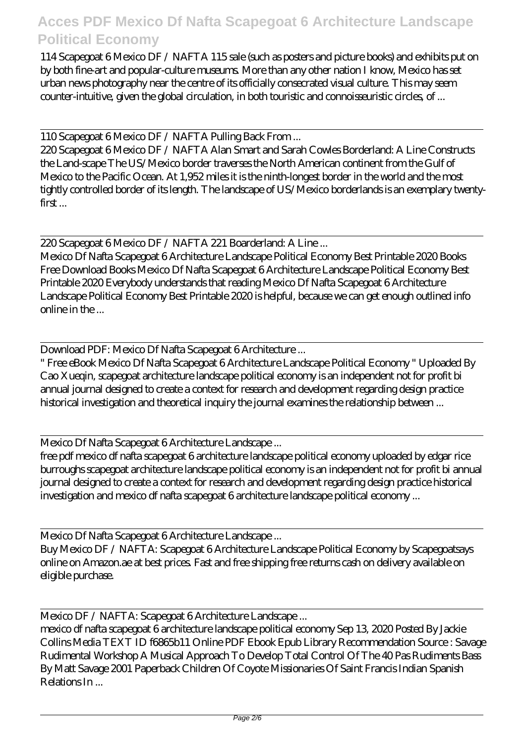114 Scapegoat 6 Mexico DF / NAFTA 115 sale (such as posters and picture books) and exhibits put on by both fine-art and popular-culture museums. More than any other nation I know, Mexico has set urban news photography near the centre of its officially consecrated visual culture. This may seem counter-intuitive, given the global circulation, in both touristic and connoisseuristic circles, of ...

110 Scapegoat 6 Mexico DF / NAFTA Pulling Back From ...

220 Scapegoat 6 Mexico DF / NAFTA Alan Smart and Sarah Cowles Borderland: A Line Constructs the Land-scape The US/Mexico border traverses the North American continent from the Gulf of Mexico to the Pacific Ocean. At 1,952 miles it is the ninth-longest border in the world and the most tightly controlled border of its length. The landscape of US/Mexico borderlands is an exemplary twenty $first...$ 

220 Scapegoat 6 Mexico DF / NAFTA 221 Boarderland: A Line ...

Mexico Df Nafta Scapegoat 6 Architecture Landscape Political Economy Best Printable 2020 Books Free Download Books Mexico Df Nafta Scapegoat 6 Architecture Landscape Political Economy Best Printable 2020 Everybody understands that reading Mexico Df Nafta Scapegoat 6 Architecture Landscape Political Economy Best Printable 2020 is helpful, because we can get enough outlined info online in the ...

Download PDF: Mexico Df Nafta Scapegoat 6 Architecture ...

" Free eBook Mexico Df Nafta Scapegoat 6 Architecture Landscape Political Economy " Uploaded By Cao Xueqin, scapegoat architecture landscape political economy is an independent not for profit bi annual journal designed to create a context for research and development regarding design practice historical investigation and theoretical inquiry the journal examines the relationship between ...

Mexico Df Nafta Scapegoat 6 Architecture Landscape ...

free pdf mexico df nafta scapegoat 6 architecture landscape political economy uploaded by edgar rice burroughs scapegoat architecture landscape political economy is an independent not for profit bi annual journal designed to create a context for research and development regarding design practice historical investigation and mexico df nafta scapegoat 6 architecture landscape political economy ...

Mexico Df Nafta Scapegoat 6 Architecture Landscape ...

Buy Mexico DF / NAFTA: Scapegoat 6 Architecture Landscape Political Economy by Scapegoatsays online on Amazon.ae at best prices. Fast and free shipping free returns cash on delivery available on eligible purchase.

Mexico DF / NAFTA: Scapegoat 6 Architecture Landscape ...

mexico df nafta scapegoat 6 architecture landscape political economy Sep 13, 2020 Posted By Jackie Collins Media TEXT ID f6865b11 Online PDF Ebook Epub Library Recommendation Source : Savage Rudimental Workshop A Musical Approach To Develop Total Control Of The 40 Pas Rudiments Bass By Matt Savage 2001 Paperback Children Of Coyote Missionaries Of Saint Francis Indian Spanish Relations In ...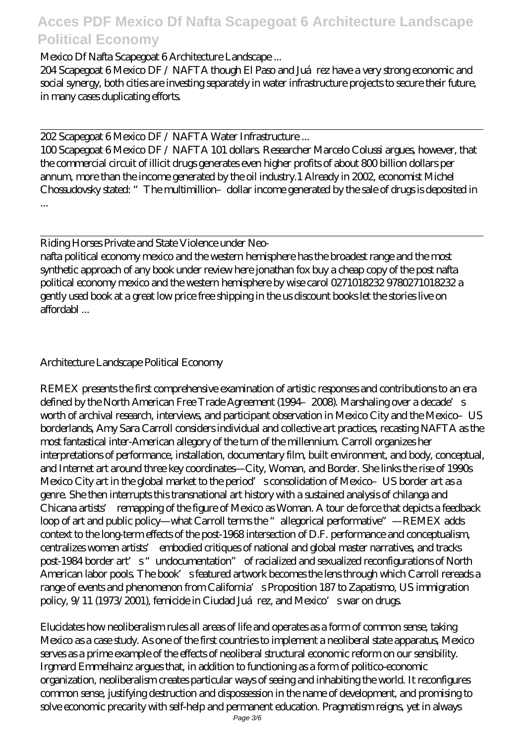#### Mexico Df Nafta Scapegoat 6 Architecture Landscape ...

204 Scapegoat 6 Mexico DF / NAFTA though El Paso and Juárez have a very strong economic and social synergy, both cities are investing separately in water infrastructure projects to secure their future, in many cases duplicating efforts.

202 Scapegoat 6 Mexico DF / NAFTA Water Infrastructure ...

100 Scapegoat 6 Mexico DF / NAFTA 101 dollars. Researcher Marcelo Colussi argues, however, that the commercial circuit of illicit drugs generates even higher profits of about 800 billion dollars per annum, more than the income generated by the oil industry.1 Already in 2002, economist Michel Chossudovsky stated: "The multimillion–dollar income generated by the sale of drugs is deposited in ...

Riding Horses Private and State Violence under Neo-

nafta political economy mexico and the western hemisphere has the broadest range and the most synthetic approach of any book under review here jonathan fox buy a cheap copy of the post nafta political economy mexico and the western hemisphere by wise carol 0271018232 9780271018232 a gently used book at a great low price free shipping in the us discount books let the stories live on affordabl ...

#### Architecture Landscape Political Economy

REMEX presents the first comprehensive examination of artistic responses and contributions to an era defined by the North American Free Trade Agreement (1994–2008). Marshaling over a decade's worth of archival research, interviews, and participant observation in Mexico City and the Mexico–US borderlands, Amy Sara Carroll considers individual and collective art practices, recasting NAFTA as the most fantastical inter-American allegory of the turn of the millennium. Carroll organizes her interpretations of performance, installation, documentary film, built environment, and body, conceptual, and Internet art around three key coordinates—City, Woman, and Border. She links the rise of 1990s Mexico City art in the global market to the period's consolidation of Mexico–US border art as a genre. She then interrupts this transnational art history with a sustained analysis of chilanga and Chicana artists' remapping of the figure of Mexico as Woman. A tour de force that depicts a feedback loop of art and public policy—what Carroll terms the "allegorical performative"—REMEX adds context to the long-term effects of the post-1968 intersection of D.F. performance and conceptualism, centralizes women artists' embodied critiques of national and global master narratives, and tracks post-1984 border art's "undocumentation" of racialized and sexualized reconfigurations of North American labor pools. The book's featured artwork becomes the lens through which Carroll rereads a range of events and phenomenon from California's Proposition 187 to Zapatismo, US immigration policy, 9/11 (1973/2001), femicide in Ciudad Juárez, and Mexico's war on drugs.

Elucidates how neoliberalism rules all areas of life and operates as a form of common sense, taking Mexico as a case study. As one of the first countries to implement a neoliberal state apparatus, Mexico serves as a prime example of the effects of neoliberal structural economic reform on our sensibility. Irgmard Emmelhainz argues that, in addition to functioning as a form of politico-economic organization, neoliberalism creates particular ways of seeing and inhabiting the world. It reconfigures common sense, justifying destruction and dispossession in the name of development, and promising to solve economic precarity with self-help and permanent education. Pragmatism reigns, yet in always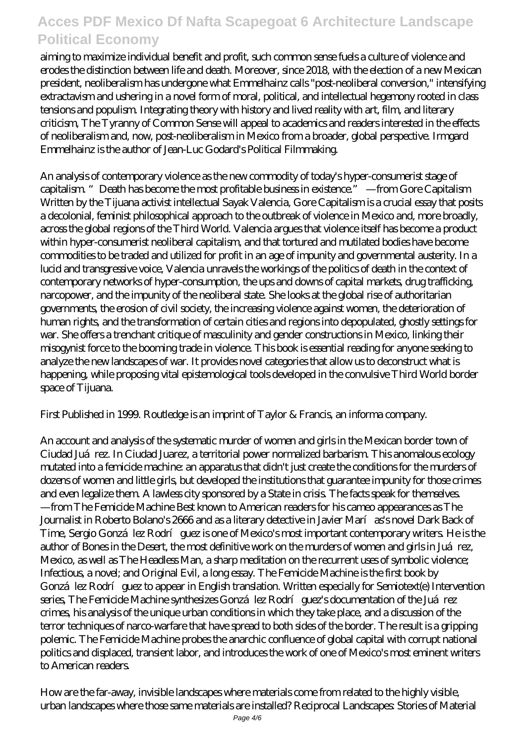aiming to maximize individual benefit and profit, such common sense fuels a culture of violence and erodes the distinction between life and death. Moreover, since 2018, with the election of a new Mexican president, neoliberalism has undergone what Emmelhainz calls "post-neoliberal conversion," intensifying extractavism and ushering in a novel form of moral, political, and intellectual hegemony rooted in class tensions and populism. Integrating theory with history and lived reality with art, film, and literary criticism, The Tyranny of Common Sense will appeal to academics and readers interested in the effects of neoliberalism and, now, post-neoliberalism in Mexico from a broader, global perspective. Irmgard Emmelhainz is the author of Jean-Luc Godard's Political Filmmaking.

An analysis of contemporary violence as the new commodity of today's hyper-consumerist stage of capitalism. "Death has become the most profitable business in existence." —from Gore Capitalism Written by the Tijuana activist intellectual Sayak Valencia, Gore Capitalism is a crucial essay that posits a decolonial, feminist philosophical approach to the outbreak of violence in Mexico and, more broadly, across the global regions of the Third World. Valencia argues that violence itself has become a product within hyper-consumerist neoliberal capitalism, and that tortured and mutilated bodies have become commodities to be traded and utilized for profit in an age of impunity and governmental austerity. In a lucid and transgressive voice, Valencia unravels the workings of the politics of death in the context of contemporary networks of hyper-consumption, the ups and downs of capital markets, drug trafficking, narcopower, and the impunity of the neoliberal state. She looks at the global rise of authoritarian governments, the erosion of civil society, the increasing violence against women, the deterioration of human rights, and the transformation of certain cities and regions into depopulated, ghostly settings for war. She offers a trenchant critique of masculinity and gender constructions in Mexico, linking their misogynist force to the booming trade in violence. This book is essential reading for anyone seeking to analyze the new landscapes of war. It provides novel categories that allow us to deconstruct what is happening, while proposing vital epistemological tools developed in the convulsive Third World border space of Tijuana.

First Published in 1999. Routledge is an imprint of Taylor & Francis, an informa company.

An account and analysis of the systematic murder of women and girls in the Mexican border town of Ciudad Juárez. In Ciudad Juarez, a territorial power normalized barbarism. This anomalous ecology mutated into a femicide machine: an apparatus that didn't just create the conditions for the murders of dozens of women and little girls, but developed the institutions that guarantee impunity for those crimes and even legalize them. A lawless city sponsored by a State in crisis. The facts speak for themselves. —from The Femicide Machine Best known to American readers for his cameo appearances as The Journalist in Roberto Bolano's 2666 and as a literary detective in Javier Marías's novel Dark Back of Time, Sergio González Rodríguez is one of Mexico's most important contemporary writers. He is the author of Bones in the Desert, the most definitive work on the murders of women and girls in Juárez, Mexico, as well as The Headless Man, a sharp meditation on the recurrent uses of symbolic violence; Infectious, a novel; and Original Evil, a long essay. The Femicide Machine is the first book by González Rodríguez to appear in English translation. Written especially for Semiotext(e) Intervention series, The Femicide Machine synthesizes González Rodríguez's documentation of the Juárez crimes, his analysis of the unique urban conditions in which they take place, and a discussion of the terror techniques of narco-warfare that have spread to both sides of the border. The result is a gripping polemic. The Femicide Machine probes the anarchic confluence of global capital with corrupt national politics and displaced, transient labor, and introduces the work of one of Mexico's most eminent writers to American readers.

How are the far-away, invisible landscapes where materials come from related to the highly visible, urban landscapes where those same materials are installed? Reciprocal Landscapes: Stories of Material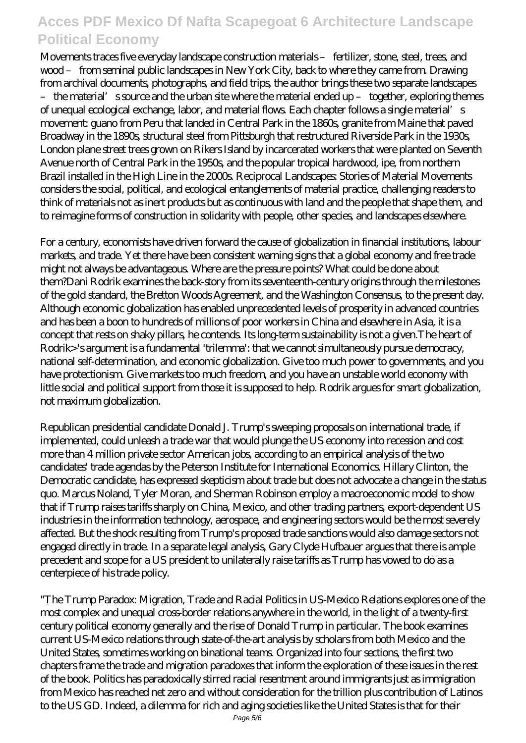Movements traces five everyday landscape construction materials – fertilizer, stone, steel, trees, and wood – from seminal public landscapes in New York City, back to where they came from. Drawing from archival documents, photographs, and field trips, the author brings these two separate landscapes – the material's source and the urban site where the material ended up – together, exploring themes of unequal ecological exchange, labor, and material flows. Each chapter follows a single material's movement: guano from Peru that landed in Central Park in the 1860s, granite from Maine that paved Broadway in the 1890s, structural steel from Pittsburgh that restructured Riverside Park in the 1930s, London plane street trees grown on Rikers Island by incarcerated workers that were planted on Seventh Avenue north of Central Park in the 1950s, and the popular tropical hardwood, ipe, from northern Brazil installed in the High Line in the 2000s. Reciprocal Landscapes: Stories of Material Movements considers the social, political, and ecological entanglements of material practice, challenging readers to think of materials not as inert products but as continuous with land and the people that shape them, and to reimagine forms of construction in solidarity with people, other species, and landscapes elsewhere.

For a century, economists have driven forward the cause of globalization in financial institutions, labour markets, and trade. Yet there have been consistent warning signs that a global economy and free trade might not always be advantageous. Where are the pressure points? What could be done about them?Dani Rodrik examines the back-story from its seventeenth-century origins through the milestones of the gold standard, the Bretton Woods Agreement, and the Washington Consensus, to the present day. Although economic globalization has enabled unprecedented levels of prosperity in advanced countries and has been a boon to hundreds of millions of poor workers in China and elsewhere in Asia, it is a concept that rests on shaky pillars, he contends. Its long-term sustainability is not a given.The heart of Rodrik>'s argument is a fundamental 'trilemma': that we cannot simultaneously pursue democracy, national self-determination, and economic globalization. Give too much power to governments, and you have protectionism. Give markets too much freedom, and you have an unstable world economy with little social and political support from those it is supposed to help. Rodrik argues for smart globalization, not maximum globalization.

Republican presidential candidate Donald J. Trump's sweeping proposals on international trade, if implemented, could unleash a trade war that would plunge the US economy into recession and cost more than 4 million private sector American jobs, according to an empirical analysis of the two candidates' trade agendas by the Peterson Institute for International Economics. Hillary Clinton, the Democratic candidate, has expressed skepticism about trade but does not advocate a change in the status quo. Marcus Noland, Tyler Moran, and Sherman Robinson employ a macroeconomic model to show that if Trump raises tariffs sharply on China, Mexico, and other trading partners, export-dependent US industries in the information technology, aerospace, and engineering sectors would be the most severely affected. But the shock resulting from Trump's proposed trade sanctions would also damage sectors not engaged directly in trade. In a separate legal analysis, Gary Clyde Hufbauer argues that there is ample precedent and scope for a US president to unilaterally raise tariffs as Trump has vowed to do as a centerpiece of his trade policy.

"The Trump Paradox: Migration, Trade and Racial Politics in US-Mexico Relations explores one of the most complex and unequal cross-border relations anywhere in the world, in the light of a twenty-first century political economy generally and the rise of Donald Trump in particular. The book examines current US-Mexico relations through state-of-the-art analysis by scholars from both Mexico and the United States, sometimes working on binational teams. Organized into four sections, the first two chapters frame the trade and migration paradoxes that inform the exploration of these issues in the rest of the book. Politics has paradoxically stirred racial resentment around immigrants just as immigration from Mexico has reached net zero and without consideration for the trillion plus contribution of Latinos to the US GD. Indeed, a dilemma for rich and aging societies like the United States is that for their